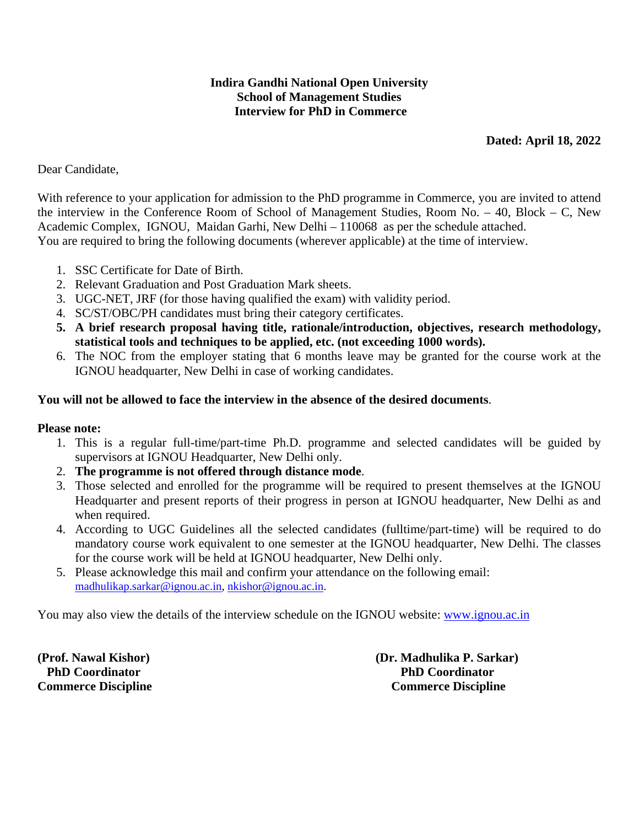# **Indira Gandhi National Open University School of Management Studies Interview for PhD in Commerce**

# **Dated: April 18, 2022**

# Dear Candidate,

With reference to your application for admission to the PhD programme in Commerce, you are invited to attend the interview in the Conference Room of School of Management Studies, Room No. – 40, Block – C, New Academic Complex, IGNOU, Maidan Garhi, New Delhi – 110068 as per the schedule attached. You are required to bring the following documents (wherever applicable) at the time of interview.

- 1. SSC Certificate for Date of Birth.
- 2. Relevant Graduation and Post Graduation Mark sheets.
- 3. UGC-NET, JRF (for those having qualified the exam) with validity period.
- 4. SC/ST/OBC/PH candidates must bring their category certificates.
- **5. A brief research proposal having title, rationale/introduction, objectives, research methodology, statistical tools and techniques to be applied, etc. (not exceeding 1000 words).**
- 6. The NOC from the employer stating that 6 months leave may be granted for the course work at the IGNOU headquarter, New Delhi in case of working candidates.

## **You will not be allowed to face the interview in the absence of the desired documents**.

## **Please note:**

- 1. This is a regular full-time/part-time Ph.D. programme and selected candidates will be guided by supervisors at IGNOU Headquarter, New Delhi only.
- 2. **The programme is not offered through distance mode**.
- 3. Those selected and enrolled for the programme will be required to present themselves at the IGNOU Headquarter and present reports of their progress in person at IGNOU headquarter, New Delhi as and when required.
- 4. According to UGC Guidelines all the selected candidates (fulltime/part-time) will be required to do mandatory course work equivalent to one semester at the IGNOU headquarter, New Delhi. The classes for the course work will be held at IGNOU headquarter, New Delhi only.
- 5. Please acknowledge this mail and confirm your attendance on the following email: madhulikap.sarkar@ignou.ac.in, nkishor@ignou.ac.in.

You may also view the details of the interview schedule on the IGNOU website: www.ignou.ac.in

**(Prof. Nawal Kishor) (Dr. Madhulika P. Sarkar) PhD Coordinator PhD Coordinator Commerce Discipline Commerce Discipline**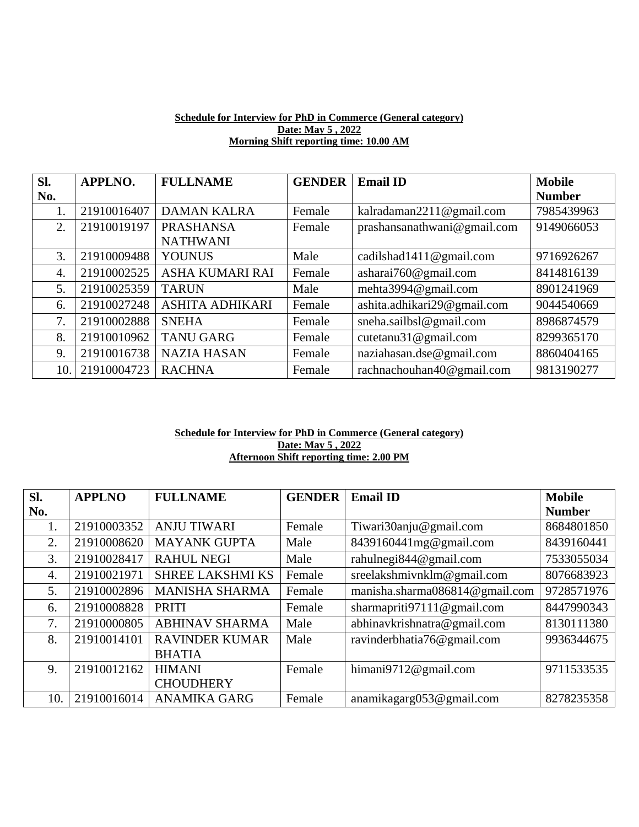#### **Schedule for Interview for PhD in Commerce (General category) Date: May 5 , 2022 Morning Shift reporting time: 10.00 AM**

| Sl.              | <b>APPLNO.</b> | <b>FULLNAME</b>        | <b>GENDER</b> | <b>Email ID</b>             | <b>Mobile</b> |
|------------------|----------------|------------------------|---------------|-----------------------------|---------------|
| No.              |                |                        |               |                             | <b>Number</b> |
|                  | 21910016407    | <b>DAMAN KALRA</b>     | Female        | kalradaman2211@gmail.com    | 7985439963    |
| 2.               | 21910019197    | <b>PRASHANSA</b>       | Female        | prashansanathwani@gmail.com | 9149066053    |
|                  |                | <b>NATHWANI</b>        |               |                             |               |
| 3.               | 21910009488    | <b>YOUNUS</b>          | Male          | cadilshad1411@gmail.com     | 9716926267    |
| $\overline{4}$ . | 21910002525    | ASHA KUMARI RAI        | Female        | asharai760@gmail.com        | 8414816139    |
| 5.               | 21910025359    | <b>TARUN</b>           | Male          | mehta3994@gmail.com         | 8901241969    |
| 6.               | 21910027248    | <b>ASHITA ADHIKARI</b> | Female        | ashita.adhikari29@gmail.com | 9044540669    |
| 7.               | 21910002888    | <b>SNEHA</b>           | Female        | sneha.sailbsl@gmail.com     | 8986874579    |
| 8.               | 21910010962    | <b>TANU GARG</b>       | Female        | cutetanu31@gmail.com        | 8299365170    |
| 9.               | 21910016738    | <b>NAZIA HASAN</b>     | Female        | naziahasan.dse@gmail.com    | 8860404165    |
| 10.              | 21910004723    | <b>RACHNA</b>          | Female        | rachnachouhan40@gmail.com   | 9813190277    |

#### **Schedule for Interview for PhD in Commerce (General category) Date: May 5 , 2022 Afternoon Shift reporting time: 2.00 PM**

| SI. | <b>APPLNO</b> | <b>FULLNAME</b>         | <b>GENDER</b> | <b>Email ID</b>                | <b>Mobile</b> |
|-----|---------------|-------------------------|---------------|--------------------------------|---------------|
| No. |               |                         |               |                                | <b>Number</b> |
| 1.  | 21910003352   | <b>ANJU TIWARI</b>      | Female        | Tiwari30anju@gmail.com         | 8684801850    |
| 2.  | 21910008620   | <b>MAYANK GUPTA</b>     | Male          | 8439160441mg@gmail.com         | 8439160441    |
| 3.  | 21910028417   | <b>RAHUL NEGI</b>       | Male          | rahulnegi844@gmail.com         | 7533055034    |
| 4.  | 21910021971   | <b>SHREE LAKSHMI KS</b> | Female        | sreelakshmivnklm@gmail.com     | 8076683923    |
| 5.  | 21910002896   | <b>MANISHA SHARMA</b>   | Female        | manisha.sharma086814@gmail.com | 9728571976    |
| 6.  | 21910008828   | <b>PRITI</b>            | Female        | sharmapriti97111@gmail.com     | 8447990343    |
| 7.  | 21910000805   | <b>ABHINAV SHARMA</b>   | Male          | abhinavkrishnatra@gmail.com    | 8130111380    |
| 8.  | 21910014101   | <b>RAVINDER KUMAR</b>   | Male          | ravinderbhatia76@gmail.com     | 9936344675    |
|     |               | <b>BHATIA</b>           |               |                                |               |
| 9.  | 21910012162   | <b>HIMANI</b>           | Female        | himani9712@gmail.com           | 9711533535    |
|     |               | <b>CHOUDHERY</b>        |               |                                |               |
| 10. | 21910016014   | <b>ANAMIKA GARG</b>     | Female        | anamikagarg053@gmail.com       | 8278235358    |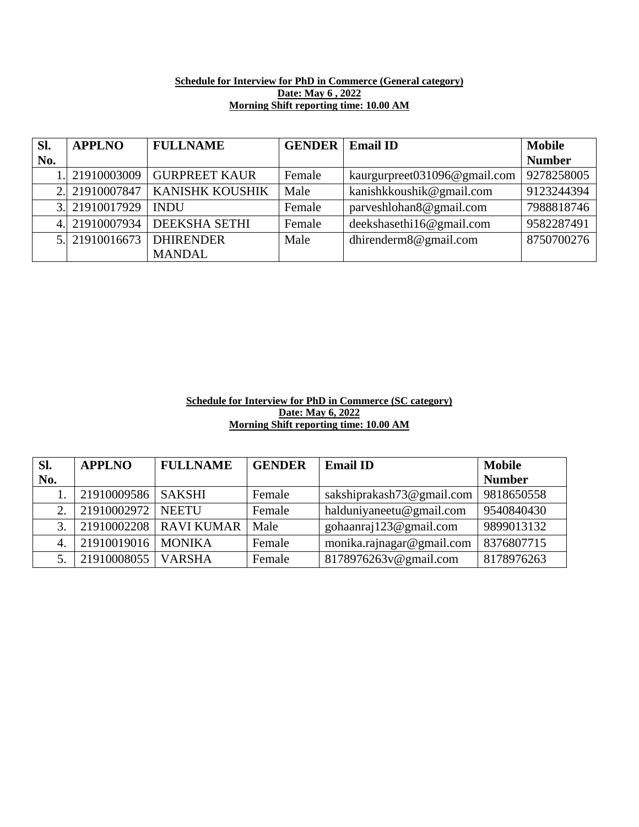### **Schedule for Interview for PhD in Commerce (General category) Date: May 6 , 2022 Morning Shift reporting time: 10.00 AM**

| SI. | <b>APPLNO</b>  | <b>FULLNAME</b>      | <b>GENDER</b> | <b>Email ID</b>              | <b>Mobile</b> |
|-----|----------------|----------------------|---------------|------------------------------|---------------|
| No. |                |                      |               |                              | <b>Number</b> |
|     | 1. 21910003009 | <b>GURPREET KAUR</b> | Female        | kaurgurpreet031096@gmail.com | 9278258005    |
|     | 2. 21910007847 | KANISHK KOUSHIK      | Male          | kanishkkoushik@gmail.com     | 9123244394    |
|     | 3. 21910017929 | <b>INDU</b>          | Female        | parveshlohan8@gmail.com      | 7988818746    |
|     | 4. 21910007934 | DEEKSHA SETHI        | Female        | deekshasethi16@gmail.com     | 9582287491    |
|     | 5. 21910016673 | <b>DHIRENDER</b>     | Male          | dhirenderm8@gmail.com        | 8750700276    |
|     |                | <b>MANDAL</b>        |               |                              |               |

### **Schedule for Interview for PhD in Commerce (SC category) Date: May 6, 2022 Morning Shift reporting time: 10.00 AM**

| Sl. | <b>APPLNO</b>        | <b>FULLNAME</b>          | <b>GENDER</b> | <b>Email ID</b>           | <b>Mobile</b> |
|-----|----------------------|--------------------------|---------------|---------------------------|---------------|
| No. |                      |                          |               |                           | <b>Number</b> |
|     | 21910009586          | <b>SAKSHI</b>            | Female        | sakshiprakash73@gmail.com | 9818650558    |
| 2.  | 21910002972   NEETU  |                          | Female        | halduniyaneetu@gmail.com  | 9540840430    |
| 3.  |                      | 21910002208   RAVI KUMAR | Male          | gohaanraj123@gmail.com    | 9899013132    |
| 4.  | 21910019016          | <b>MONIKA</b>            | Female        | monika.rajnagar@gmail.com | 8376807715    |
| 5.  | 21910008055   VARSHA |                          | Female        | 8178976263v@gmail.com     | 8178976263    |